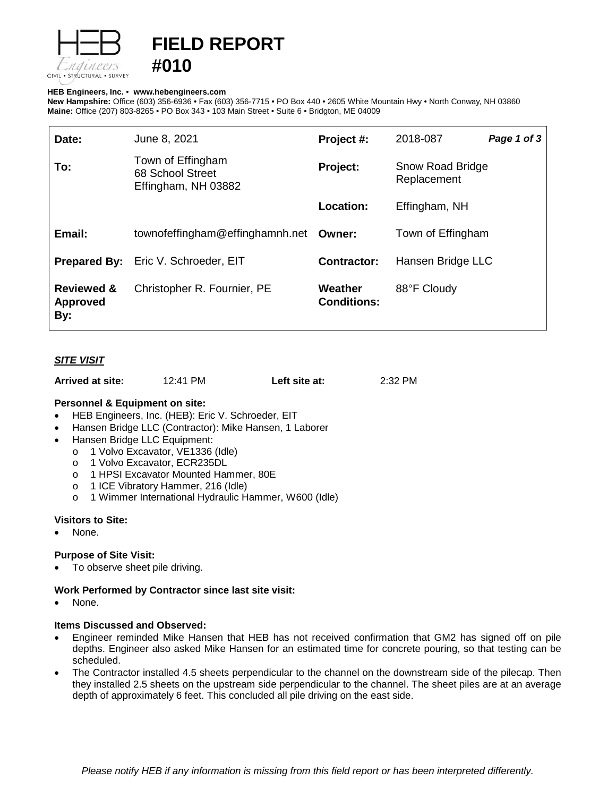

# **FIELD REPORT**

# **HEB Engineers, Inc.** • **[www.hebengineer](http://www.hebengineers.com/)s.com**

**#010**

**New Hampshire:** Office (603) 356-6936 • Fax (603) 356-7715 • PO Box 440 • 2605 White Mountain Hwy • North Conway, NH 03860 **Maine:** Office (207) 803-8265 • PO Box 343 • 103 Main Street • Suite 6 • Bridgton, ME 04009

| Date:                                           | June 8, 2021                                                 | Project #:                    | 2018-087                               | Page 1 of 3 |
|-------------------------------------------------|--------------------------------------------------------------|-------------------------------|----------------------------------------|-------------|
| To:                                             | Town of Effingham<br>68 School Street<br>Effingham, NH 03882 | Project:                      | <b>Snow Road Bridge</b><br>Replacement |             |
|                                                 |                                                              | Location:                     | Effingham, NH                          |             |
| Email:                                          | townofeffingham@effinghamnh.net Owner:                       |                               | Town of Effingham                      |             |
|                                                 | <b>Prepared By:</b> Eric V. Schroeder, EIT                   | <b>Contractor:</b>            | Hansen Bridge LLC                      |             |
| <b>Reviewed &amp;</b><br><b>Approved</b><br>By: | Christopher R. Fournier, PE                                  | Weather<br><b>Conditions:</b> | 88°F Cloudy                            |             |

# *SITE VISIT*

| 12:41 PM<br>Arrived at site: | Left site at: | 2:32 PM |
|------------------------------|---------------|---------|
|------------------------------|---------------|---------|

## **Personnel & Equipment on site:**

- HEB Engineers, Inc. (HEB): Eric V. Schroeder, EIT
- Hansen Bridge LLC (Contractor): Mike Hansen, 1 Laborer
- Hansen Bridge LLC Equipment:
	- o 1 Volvo Excavator, VE1336 (Idle)<br>o 1 Volvo Excavator, ECR235DL
	- o 1 Volvo Excavator, ECR235DL<br>o 1 HPSI Excavator Mounted Har
	- o 1 HPSI Excavator Mounted Hammer, 80E<br>o 1 ICE Vibratory Hammer, 216 (Idle)
	- 1 ICE Vibratory Hammer, 216 (Idle)
	- o 1 Wimmer International Hydraulic Hammer, W600 (Idle)

## **Visitors to Site:**

None.

## **Purpose of Site Visit:**

To observe sheet pile driving.

#### **Work Performed by Contractor since last site visit:**

None.

# **Items Discussed and Observed:**

- Engineer reminded Mike Hansen that HEB has not received confirmation that GM2 has signed off on pile depths. Engineer also asked Mike Hansen for an estimated time for concrete pouring, so that testing can be scheduled.
- The Contractor installed 4.5 sheets perpendicular to the channel on the downstream side of the pilecap. Then they installed 2.5 sheets on the upstream side perpendicular to the channel. The sheet piles are at an average depth of approximately 6 feet. This concluded all pile driving on the east side.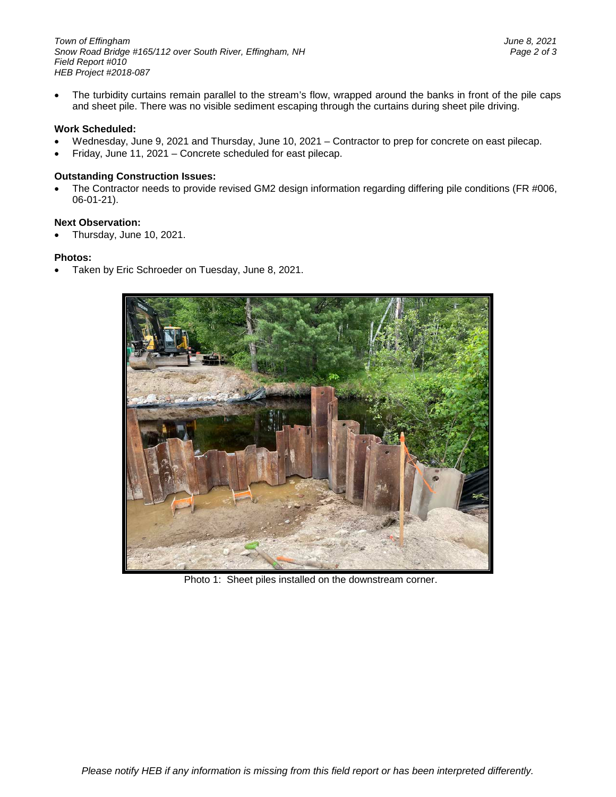*Town of Effingham June 8, 2021 Snow Road Bridge #165/112 over South River, Effingham, NH Page 2 of 3 Field Report #010 HEB Project #2018-087*

• The turbidity curtains remain parallel to the stream's flow, wrapped around the banks in front of the pile caps and sheet pile. There was no visible sediment escaping through the curtains during sheet pile driving.

## **Work Scheduled:**

- Wednesday, June 9, 2021 and Thursday, June 10, 2021 Contractor to prep for concrete on east pilecap.
- Friday, June 11, 2021 Concrete scheduled for east pilecap.

# **Outstanding Construction Issues:**

The Contractor needs to provide revised GM2 design information regarding differing pile conditions (FR #006, 06-01-21).

## **Next Observation:**

• Thursday, June 10, 2021.

# **Photos:**

• Taken by Eric Schroeder on Tuesday, June 8, 2021.



Photo 1: Sheet piles installed on the downstream corner.